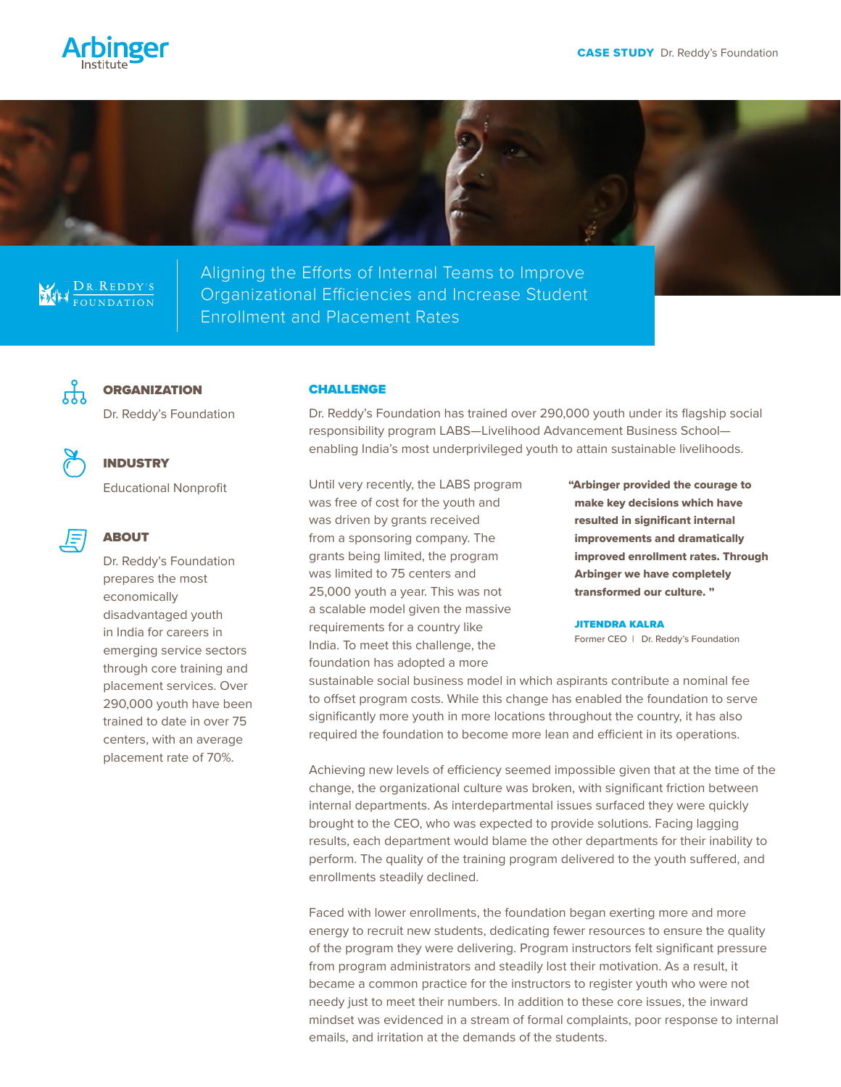



# DR. REDDY'S

Aligning the Efforts of Internal Teams to Improve Organizational Efficiencies and Increase Student Enrollment and Placement Rates



# **ORGANIZATION**

Dr. Reddy's Foundation



## INDUSTRY

ABOUT

Educational Nonprofit

Dr. Reddy's Foundation prepares the most economically disadvantaged youth in India for careers in emerging service sectors through core training and placement services. Over 290,000 youth have been trained to date in over 75

centers, with an average placement rate of 70%.

### **CHALLENGE**

Dr. Reddy's Foundation has trained over 290,000 youth under its flagship social responsibility program LABS—Livelihood Advancement Business School enabling India's most underprivileged youth to attain sustainable livelihoods.

Until very recently, the LABS program was free of cost for the youth and was driven by grants received from a sponsoring company. The grants being limited, the program was limited to 75 centers and 25,000 youth a year. This was not a scalable model given the massive requirements for a country like India. To meet this challenge, the foundation has adopted a more

"Arbinger provided the courage to make key decisions which have resulted in significant internal improvements and dramatically improved enrollment rates. Through Arbinger we have completely transformed our culture. "

#### JITENDRA KALRA

Former CEO | Dr. Reddy's Foundation

sustainable social business model in which aspirants contribute a nominal fee to offset program costs. While this change has enabled the foundation to serve significantly more youth in more locations throughout the country, it has also required the foundation to become more lean and efficient in its operations.

Achieving new levels of efficiency seemed impossible given that at the time of the change, the organizational culture was broken, with significant friction between internal departments. As interdepartmental issues surfaced they were quickly brought to the CEO, who was expected to provide solutions. Facing lagging results, each department would blame the other departments for their inability to perform. The quality of the training program delivered to the youth suffered, and enrollments steadily declined.

Faced with lower enrollments, the foundation began exerting more and more energy to recruit new students, dedicating fewer resources to ensure the quality of the program they were delivering. Program instructors felt significant pressure from program administrators and steadily lost their motivation. As a result, it became a common practice for the instructors to register youth who were not needy just to meet their numbers. In addition to these core issues, the inward mindset was evidenced in a stream of formal complaints, poor response to internal emails, and irritation at the demands of the students.